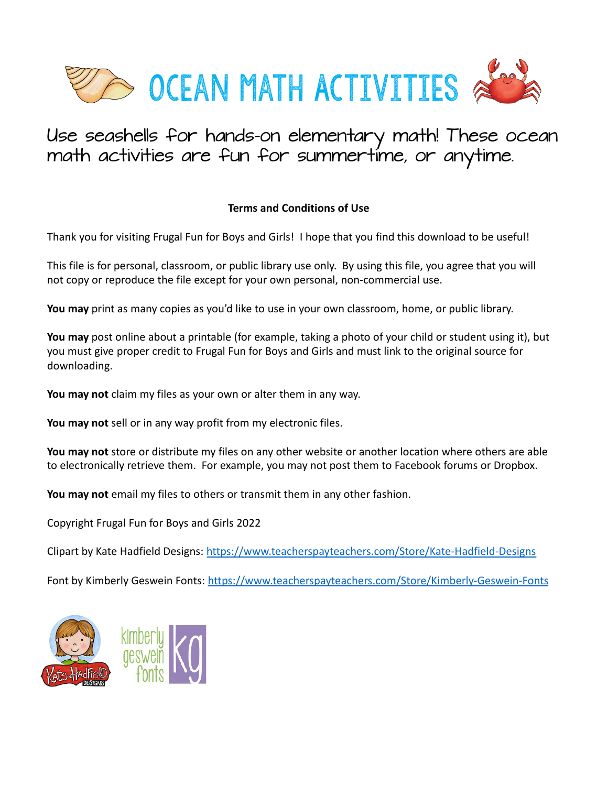

## Use seashells for hands-on elementary math! These ocean math activities are fun for summertime, or anytime.

## **Terms and Conditions of Use**

Thank you for visiting Frugal Fun for Boys and Girls! I hope that you find this download to be useful!

This file is for personal, classroom, or public library use only. By using this file, you agree that you will not copy or reproduce the file except for your own personal, non-commercial use.

**You may** print as many copies as you'd like to use in your own classroom, home, or public library.

**You may** post online about a printable (for example, taking a photo of your child or student using it), but you must give proper credit to Frugal Fun for Boys and Girls and must link to the original source for downloading.

**You may not** claim my files as your own or alter them in any way.

**You may not** sell or in any way profit from my electronic files.

**You may not** store or distribute my files on any other website or another location where others are able to electronically retrieve them. For example, you may not post them to Facebook forums or Dropbox.

**You may not** email my files to others or transmit them in any other fashion.

Copyright Frugal Fun for Boys and Girls 2022

Clipart by Kate Hadfield Designs: <https://www.teacherspayteachers.com/Store/Kate-Hadfield-Designs>

Font by Kimberly Geswein Fonts:<https://www.teacherspayteachers.com/Store/Kimberly-Geswein-Fonts>

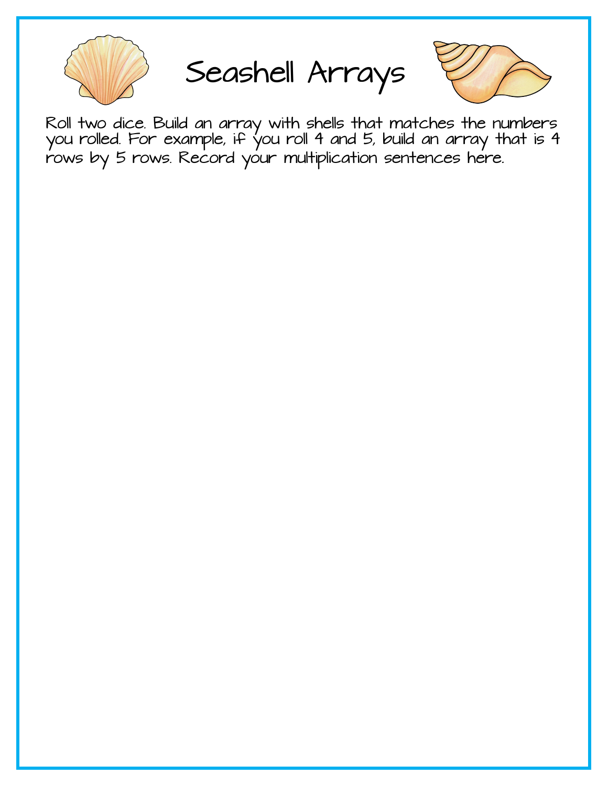

Seashell Arrays



Roll two dice. Build an array with shells that matches the numbers you rolled. For example, if you roll 4 and 5, build an array that is 4 rows by 5 rows. Record your multiplication sentences here.